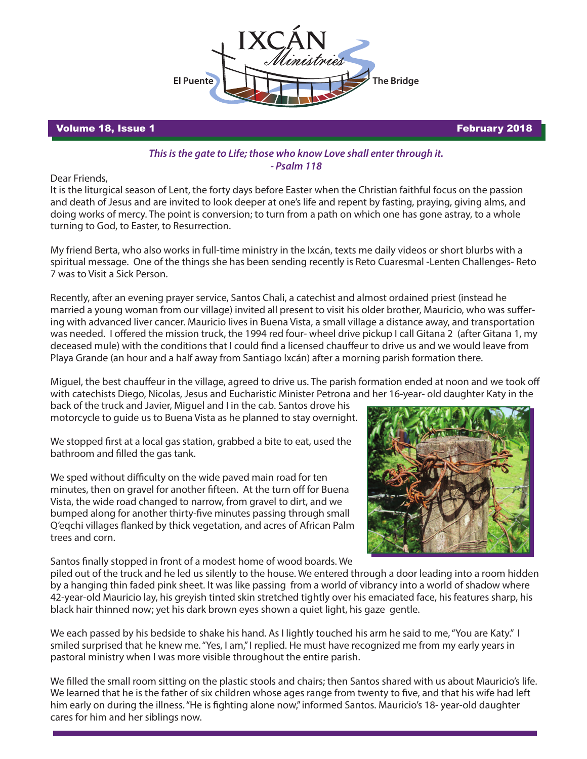

Volume 18, Issue 1 February 2018

## *This is the gate to Life; those who know Love shall enter through it. - Psalm 118*

Dear Friends,

It is the liturgical season of Lent, the forty days before Easter when the Christian faithful focus on the passion and death of Jesus and are invited to look deeper at one's life and repent by fasting, praying, giving alms, and doing works of mercy. The point is conversion; to turn from a path on which one has gone astray, to a whole turning to God, to Easter, to Resurrection.

My friend Berta, who also works in full-time ministry in the Ixcán, texts me daily videos or short blurbs with a spiritual message. One of the things she has been sending recently is Reto Cuaresmal -Lenten Challenges- Reto 7 was to Visit a Sick Person.

Recently, after an evening prayer service, Santos Chali, a catechist and almost ordained priest (instead he married a young woman from our village) invited all present to visit his older brother, Mauricio, who was suffering with advanced liver cancer. Mauricio lives in Buena Vista, a small village a distance away, and transportation was needed. I offered the mission truck, the 1994 red four- wheel drive pickup I call Gitana 2 (after Gitana 1, my deceased mule) with the conditions that I could find a licensed chauffeur to drive us and we would leave from Playa Grande (an hour and a half away from Santiago Ixcán) after a morning parish formation there.

Miguel, the best chauffeur in the village, agreed to drive us. The parish formation ended at noon and we took off with catechists Diego, Nicolas, Jesus and Eucharistic Minister Petrona and her 16-year- old daughter Katy in the

back of the truck and Javier, Miguel and I in the cab. Santos drove his motorcycle to guide us to Buena Vista as he planned to stay overnight.

We stopped first at a local gas station, grabbed a bite to eat, used the bathroom and filled the gas tank.

We sped without difficulty on the wide paved main road for ten minutes, then on gravel for another fifteen. At the turn off for Buena Vista, the wide road changed to narrow, from gravel to dirt, and we bumped along for another thirty-five minutes passing through small Q'egchi villages flanked by thick vegetation, and acres of African Palm trees and corn.

Santos finally stopped in front of a modest home of wood boards. We



piled out of the truck and he led us silently to the house. We entered through a door leading into a room hidden by a hanging thin faded pink sheet. It was like passing from a world of vibrancy into a world of shadow where 42-year-old Mauricio lay, his greyish tinted skin stretched tightly over his emaciated face, his features sharp, his black hair thinned now; yet his dark brown eyes shown a quiet light, his gaze gentle.

We each passed by his bedside to shake his hand. As I lightly touched his arm he said to me, "You are Katy." I smiled surprised that he knew me. "Yes, I am," I replied. He must have recognized me from my early years in pastoral ministry when I was more visible throughout the entire parish.

We filled the small room sitting on the plastic stools and chairs; then Santos shared with us about Mauricio's life. We learned that he is the father of six children whose ages range from twenty to five, and that his wife had left him early on during the illness. "He is fighting alone now," informed Santos. Mauricio's 18-year-old daughter cares for him and her siblings now.